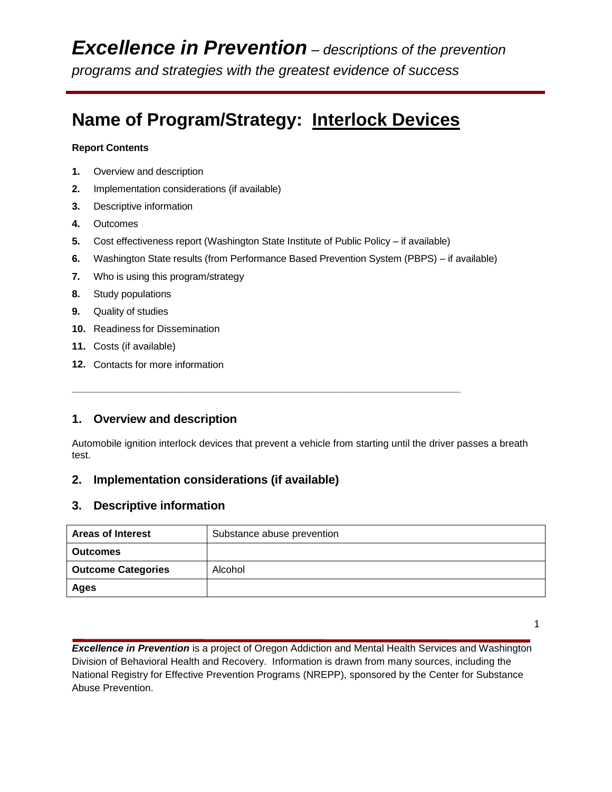# **Name of Program/Strategy: Interlock Devices**

#### **Report Contents**

- **1.** Overview and description
- **2.** Implementation considerations (if available)
- **3.** Descriptive information
- **4.** Outcomes
- **5.** Cost effectiveness report (Washington State Institute of Public Policy if available)

**\_\_\_\_\_\_\_\_\_\_\_\_\_\_\_\_\_\_\_\_\_\_\_\_\_\_\_\_\_\_\_\_\_\_\_\_\_\_\_\_\_\_\_\_\_\_\_\_\_\_\_\_\_\_\_\_\_\_\_\_\_\_\_\_\_\_\_\_\_\_**

- **6.** Washington State results (from Performance Based Prevention System (PBPS) if available)
- **7.** Who is using this program/strategy
- **8.** Study populations
- **9.** Quality of studies
- **10.** Readiness for Dissemination
- **11.** Costs (if available)
- **12.** Contacts for more information

# **1. Overview and description**

Automobile ignition interlock devices that prevent a vehicle from starting until the driver passes a breath test.

# **2. Implementation considerations (if available)**

## **3. Descriptive information**

| <b>Areas of Interest</b>  | Substance abuse prevention |  |
|---------------------------|----------------------------|--|
| <b>Outcomes</b>           |                            |  |
| <b>Outcome Categories</b> | Alcohol                    |  |
| Ages                      |                            |  |

1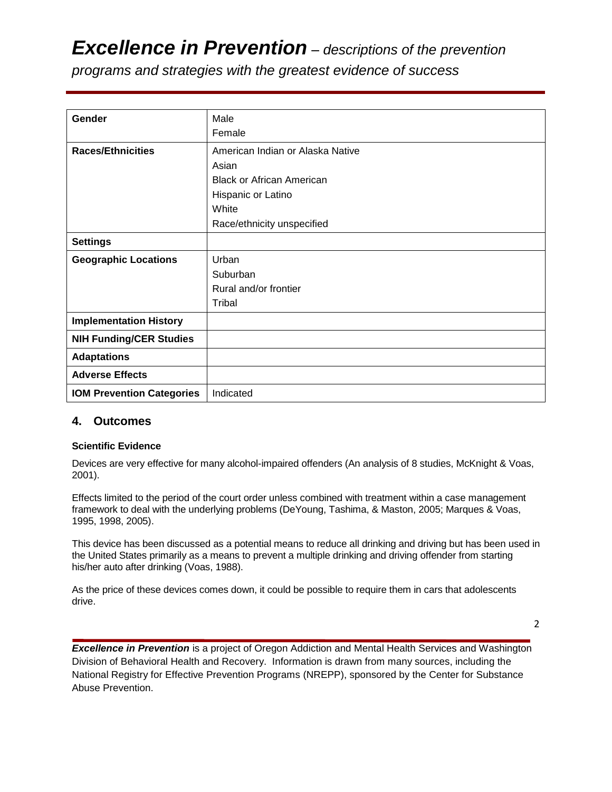# *Excellence in Prevention – descriptions of the prevention*

*programs and strategies with the greatest evidence of success*

| Gender                           | Male                             |
|----------------------------------|----------------------------------|
|                                  | Female                           |
| <b>Races/Ethnicities</b>         | American Indian or Alaska Native |
|                                  | Asian                            |
|                                  | <b>Black or African American</b> |
|                                  | Hispanic or Latino               |
|                                  | White                            |
|                                  | Race/ethnicity unspecified       |
| <b>Settings</b>                  |                                  |
| <b>Geographic Locations</b>      | Urban                            |
|                                  | Suburban                         |
|                                  | Rural and/or frontier            |
|                                  | Tribal                           |
| <b>Implementation History</b>    |                                  |
| <b>NIH Funding/CER Studies</b>   |                                  |
| <b>Adaptations</b>               |                                  |
| <b>Adverse Effects</b>           |                                  |
| <b>IOM Prevention Categories</b> | Indicated                        |

## **4. Outcomes**

#### **Scientific Evidence**

Devices are very effective for many alcohol-impaired offenders (An analysis of 8 studies, McKnight & Voas, 2001).

Effects limited to the period of the court order unless combined with treatment within a case management framework to deal with the underlying problems (DeYoung, Tashima, & Maston, 2005; Marques & Voas, 1995, 1998, 2005).

This device has been discussed as a potential means to reduce all drinking and driving but has been used in the United States primarily as a means to prevent a multiple drinking and driving offender from starting his/her auto after drinking (Voas, 1988).

As the price of these devices comes down, it could be possible to require them in cars that adolescents drive.

2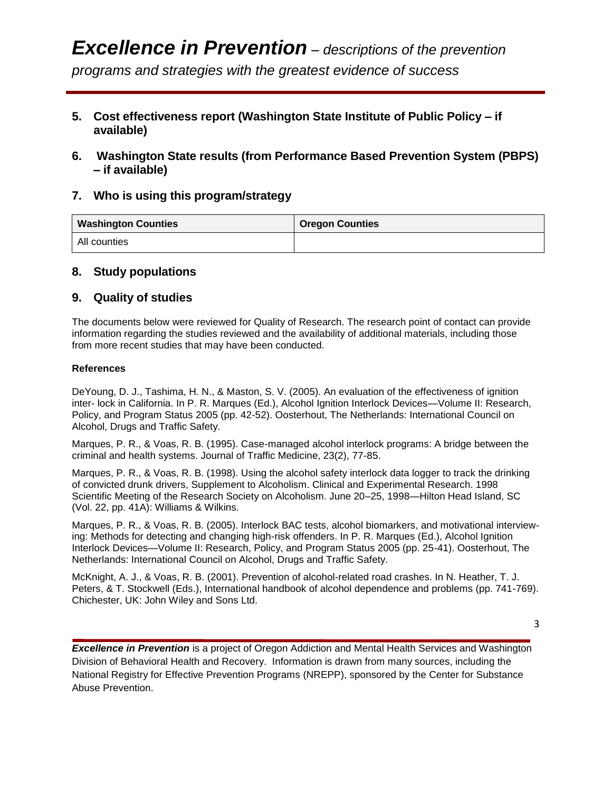- **5. Cost effectiveness report (Washington State Institute of Public Policy – if available)**
- **6. Washington State results (from Performance Based Prevention System (PBPS) – if available)**

## **7. Who is using this program/strategy**

| <b>Washington Counties</b> | <b>Oregon Counties</b> |
|----------------------------|------------------------|
| All counties               |                        |

## **8. Study populations**

## **9. Quality of studies**

The documents below were reviewed for Quality of Research. The research point of contact can provide information regarding the studies reviewed and the availability of additional materials, including those from more recent studies that may have been conducted.

#### **References**

DeYoung, D. J., Tashima, H. N., & Maston, S. V. (2005). An evaluation of the effectiveness of ignition inter- lock in California. In P. R. Marques (Ed.), Alcohol Ignition Interlock Devices—Volume II: Research, Policy, and Program Status 2005 (pp. 42-52). Oosterhout, The Netherlands: International Council on Alcohol, Drugs and Traffic Safety.

Marques, P. R., & Voas, R. B. (1995). Case-managed alcohol interlock programs: A bridge between the criminal and health systems. Journal of Traffic Medicine, 23(2), 77-85.

Marques, P. R., & Voas, R. B. (1998). Using the alcohol safety interlock data logger to track the drinking of convicted drunk drivers, Supplement to Alcoholism. Clinical and Experimental Research. 1998 Scientific Meeting of the Research Society on Alcoholism. June 20–25, 1998—Hilton Head Island, SC (Vol. 22, pp. 41A): Williams & Wilkins.

Marques, P. R., & Voas, R. B. (2005). Interlock BAC tests, alcohol biomarkers, and motivational interviewing: Methods for detecting and changing high-risk offenders. In P. R. Marques (Ed.), Alcohol Ignition Interlock Devices—Volume II: Research, Policy, and Program Status 2005 (pp. 25-41). Oosterhout, The Netherlands: International Council on Alcohol, Drugs and Traffic Safety.

McKnight, A. J., & Voas, R. B. (2001). Prevention of alcohol-related road crashes. In N. Heather, T. J. Peters, & T. Stockwell (Eds.), International handbook of alcohol dependence and problems (pp. 741-769). Chichester, UK: John Wiley and Sons Ltd.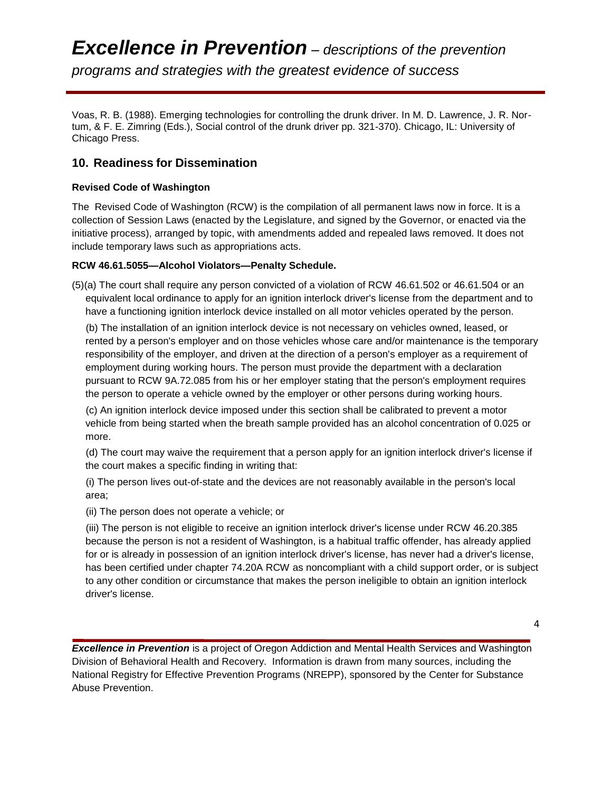Voas, R. B. (1988). Emerging technologies for controlling the drunk driver. In M. D. Lawrence, J. R. Nortum, & F. E. Zimring (Eds.), Social control of the drunk driver pp. 321-370). Chicago, IL: University of Chicago Press.

## **10. Readiness for Dissemination**

#### **Revised Code of Washington**

The Revised Code of Washington (RCW) is the compilation of all permanent laws now in force. It is a collection of Session Laws (enacted by the Legislature, and signed by the Governor, or enacted via the initiative process), arranged by topic, with amendments added and repealed laws removed. It does not include temporary laws such as appropriations acts.

#### **RCW 46.61.5055—Alcohol Violators—Penalty Schedule.**

(5)(a) The court shall require any person convicted of a violation of RCW 46.61.502 or 46.61.504 or an equivalent local ordinance to apply for an ignition interlock driver's license from the department and to have a functioning ignition interlock device installed on all motor vehicles operated by the person.

 (b) The installation of an ignition interlock device is not necessary on vehicles owned, leased, or rented by a person's employer and on those vehicles whose care and/or maintenance is the temporary responsibility of the employer, and driven at the direction of a person's employer as a requirement of employment during working hours. The person must provide the department with a declaration pursuant to RCW 9A.72.085 from his or her employer stating that the person's employment requires the person to operate a vehicle owned by the employer or other persons during working hours.

 (c) An ignition interlock device imposed under this section shall be calibrated to prevent a motor vehicle from being started when the breath sample provided has an alcohol concentration of 0.025 or more.

 (d) The court may waive the requirement that a person apply for an ignition interlock driver's license if the court makes a specific finding in writing that:

 (i) The person lives out-of-state and the devices are not reasonably available in the person's local area;

(ii) The person does not operate a vehicle; or

 (iii) The person is not eligible to receive an ignition interlock driver's license under RCW 46.20.385 because the person is not a resident of Washington, is a habitual traffic offender, has already applied for or is already in possession of an ignition interlock driver's license, has never had a driver's license, has been certified under chapter 74.20A RCW as noncompliant with a child support order, or is subject to any other condition or circumstance that makes the person ineligible to obtain an ignition interlock driver's license.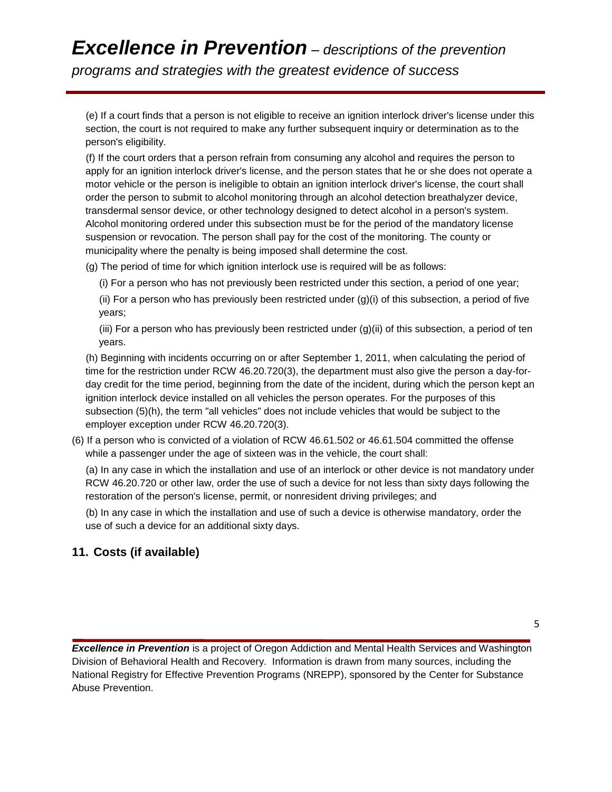# *Excellence in Prevention – descriptions of the prevention programs and strategies with the greatest evidence of success*

 (e) If a court finds that a person is not eligible to receive an ignition interlock driver's license under this section, the court is not required to make any further subsequent inquiry or determination as to the person's eligibility.

 (f) If the court orders that a person refrain from consuming any alcohol and requires the person to apply for an ignition interlock driver's license, and the person states that he or she does not operate a motor vehicle or the person is ineligible to obtain an ignition interlock driver's license, the court shall order the person to submit to alcohol monitoring through an alcohol detection breathalyzer device, transdermal sensor device, or other technology designed to detect alcohol in a person's system. Alcohol monitoring ordered under this subsection must be for the period of the mandatory license suspension or revocation. The person shall pay for the cost of the monitoring. The county or municipality where the penalty is being imposed shall determine the cost.

(g) The period of time for which ignition interlock use is required will be as follows:

(i) For a person who has not previously been restricted under this section, a period of one year;

 (ii) For a person who has previously been restricted under (g)(i) of this subsection, a period of five years;

 (iii) For a person who has previously been restricted under (g)(ii) of this subsection, a period of ten years.

 (h) Beginning with incidents occurring on or after September 1, 2011, when calculating the period of time for the restriction under RCW 46.20.720(3), the department must also give the person a day-forday credit for the time period, beginning from the date of the incident, during which the person kept an ignition interlock device installed on all vehicles the person operates. For the purposes of this subsection (5)(h), the term "all vehicles" does not include vehicles that would be subject to the employer exception under RCW 46.20.720(3).

(6) If a person who is convicted of a violation of RCW 46.61.502 or 46.61.504 committed the offense while a passenger under the age of sixteen was in the vehicle, the court shall:

 (a) In any case in which the installation and use of an interlock or other device is not mandatory under RCW 46.20.720 or other law, order the use of such a device for not less than sixty days following the restoration of the person's license, permit, or nonresident driving privileges; and

 (b) In any case in which the installation and use of such a device is otherwise mandatory, order the use of such a device for an additional sixty days.

# **11. Costs (if available)**